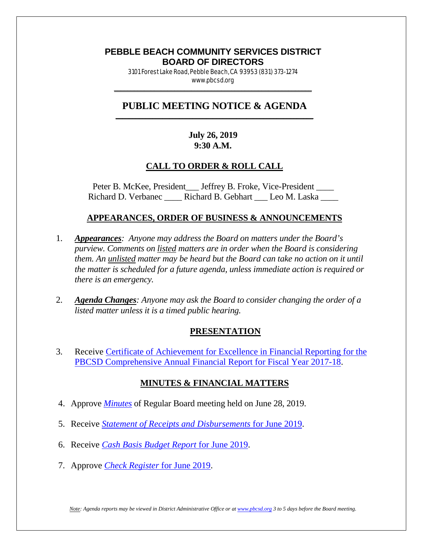### **PEBBLE BEACH COMMUNITY SERVICES DISTRICT BOARD OF DIRECTORS**

3101 Forest Lake Road, Pebble Beach, CA 93953 (831) 373-1274 www.pbcsd.org  $\frac{1}{2}$  ,  $\frac{1}{2}$  ,  $\frac{1}{2}$  ,  $\frac{1}{2}$  ,  $\frac{1}{2}$  ,  $\frac{1}{2}$  ,  $\frac{1}{2}$  ,  $\frac{1}{2}$  ,  $\frac{1}{2}$  ,  $\frac{1}{2}$  ,  $\frac{1}{2}$  ,  $\frac{1}{2}$  ,  $\frac{1}{2}$  ,  $\frac{1}{2}$  ,  $\frac{1}{2}$  ,  $\frac{1}{2}$  ,  $\frac{1}{2}$  ,  $\frac{1}{2}$  ,  $\frac{1$ 

#### **PUBLIC MEETING NOTICE & AGENDA \_\_\_\_\_\_\_\_\_\_\_\_\_\_\_\_\_\_\_\_\_\_\_\_\_\_\_\_\_\_\_\_\_\_\_\_\_\_\_\_\_\_\_\_\_\_\_\_\_\_\_\_\_\_\_\_\_\_\_**

## **July 26, 2019 9:30 A.M.**

#### **CALL TO ORDER & ROLL CALL**

Peter B. McKee, President \_\_\_ Jeffrey B. Froke, Vice-President \_\_\_\_ Richard D. Verbanec \_\_\_\_\_ Richard B. Gebhart \_\_\_ Leo M. Laska \_\_\_\_

#### **APPEARANCES, ORDER OF BUSINESS & ANNOUNCEMENTS**

- 1. *Appearances: Anyone may address the Board on matters under the Board's purview. Comments on listed matters are in order when the Board is considering them. An unlisted matter may be heard but the Board can take no action on it until the matter is scheduled for a future agenda, unless immediate action is required or there is an emergency.*
- 2. *Agenda Changes: Anyone may ask the Board to consider changing the order of a listed matter unless it is a timed public hearing.*

#### **PRESENTATION**

3. Receive [Certificate of Achievement for Excellence in Financial Reporting for the](http://pbcsd.org/wp-content/uploads/pbcsd/meetings/board/2019/2019-07-26/03-Certificate-of-Achievement-for-Excellence-in-Financial-Reporting-for-the-FY-2017-18-CAFR.pdf)  [PBCSD Comprehensive Annual Financial Report for Fiscal Year 2017-18.](http://pbcsd.org/wp-content/uploads/pbcsd/meetings/board/2019/2019-07-26/03-Certificate-of-Achievement-for-Excellence-in-Financial-Reporting-for-the-FY-2017-18-CAFR.pdf)

#### **MINUTES & FINANCIAL MATTERS**

- 4. Approve *[Minutes](http://pbcsd.org/wp-content/uploads/pbcsd/meetings/board/2019/2019-07-26/04-19-0628-PBCSD-draft-minutes.pdf)* of Regular Board meeting held on June 28, 2019.
- 5. Receive *[Statement of Receipts and Disbursements](http://pbcsd.org/wp-content/uploads/pbcsd/meetings/board/2019/2019-07-26/05-Statement-of-Receipts-Disbursements-for-June-2019.pdf)* for June 2019.
- 6. Receive *[Cash Basis Budget Report](http://pbcsd.org/wp-content/uploads/pbcsd/meetings/board/2019/2019-07-26/06-Cash-Basis-Budget-Report-fro-June-2019.pdf)* for June 2019.
- 7. Approve *[Check Register](http://pbcsd.org/wp-content/uploads/pbcsd/meetings/board/2019/2019-07-26/07-Check-Register-for-June-2019.pdf)* for June 2019.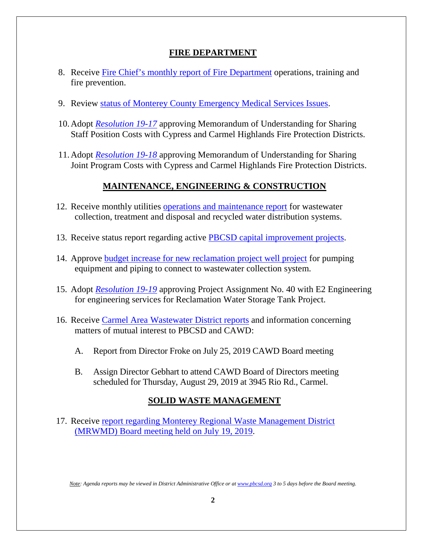## **FIRE DEPARTMENT**

- 8. Receive [Fire Chief's monthly report of Fire Department](http://pbcsd.org/wp-content/uploads/pbcsd/meetings/board/2019/2019-07-26/08-Fire-Chiefs-Monthly-Report-for-Fire-Department-June-15-to-July-19-2019.pdf) operations, training and fire prevention.
- 9. Review status of Monterey County [Emergency Medical Services Issues.](http://pbcsd.org/wp-content/uploads/pbcsd/meetings/board/2019/2019-07-26/09-Status-of-Monterey-County-Emergency-Medical-Services-Issues.pdf)
- 10.Adopt *[Resolution 19-17](http://pbcsd.org/wp-content/uploads/pbcsd/meetings/board/2019/2019-07-26/10-RES-19-17-MOU-for-Sharing-Staff-Position-Costs-with-Cypress-Carmel-Highlands-Fire-Protection-Districts.pdf)* approving Memorandum of Understanding for Sharing Staff Position Costs with Cypress and Carmel Highlands Fire Protection Districts.
- 11.Adopt *[Resolution 19-18](http://pbcsd.org/wp-content/uploads/pbcsd/meetings/board/2019/2019-07-26/11-RES-19-18-MOU-for-Sharing-Joint-Program-Costs-with-Cypress-Carmel-Highlands-Fire-Protection-Districts.pdf)* approving Memorandum of Understanding for Sharing Joint Program Costs with Cypress and Carmel Highlands Fire Protection Districts.

## **MAINTENANCE, ENGINEERING & CONSTRUCTION**

- 12. Receive monthly utilities [operations and maintenance report](http://pbcsd.org/wp-content/uploads/pbcsd/meetings/board/2019/2019-07-26/12-Operations-Maintenance-Report-for-July-2019.pdf) for wastewater collection, treatment and disposal and recycled water distribution systems.
- 13. Receive status report regarding active [PBCSD capital improvement projects.](http://pbcsd.org/wp-content/uploads/pbcsd/meetings/board/2019/2019-07-26/13-Capital-Improvement-Projects-Report-for-July-2019.pdf)
- 14. Approve [budget increase for new reclamation project well project](http://pbcsd.org/wp-content/uploads/pbcsd/meetings/board/2019/2019-07-26/14-Budget-Incresase-for-New-Reclamation-Project-Well-Project-for-Pumping-Equipment-and-Piping-to-Connect-to-Wastewater-Collection-System.pdf) for pumping equipment and piping to connect to wastewater collection system.
- 15. Adopt *Resolution 19-19* approving Project Assignment No. 40 with E2 Engineering for engineering services for Reclamation Water Storage Tank Project.
- 16. Receive [Carmel Area Wastewater District reports](http://pbcsd.org/wp-content/uploads/pbcsd/meetings/board/2019/2019-07-26/16-CAWD-Board-Meeting-Agenda-Reports-July-2019.pdf) and information concerning matters of mutual interest to PBCSD and CAWD:
	- A. Report from Director Froke on July 25, 2019 CAWD Board meeting
	- B. Assign Director Gebhart to attend CAWD Board of Directors meeting scheduled for Thursday, August 29, 2019 at 3945 Rio Rd., Carmel.

# **SOLID WASTE MANAGEMENT**

17. Receive [report regarding Monterey Regional Waste Management District](http://pbcsd.org/wp-content/uploads/pbcsd/meetings/board/2019/2019-07-26/17-MRWMD-Board-Meeting-Agendas-GM-Report.pdf)  [\(MRWMD\) Board meeting held on July](http://pbcsd.org/wp-content/uploads/pbcsd/meetings/board/2019/2019-07-26/17-MRWMD-Board-Meeting-Agendas-GM-Report.pdf) 19, 2019.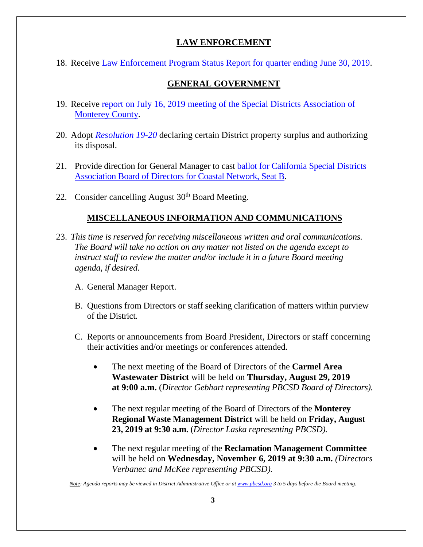# **LAW ENFORCEMENT**

18. Receive [Law Enforcement Program Status Report for quarter ending June](http://pbcsd.org/wp-content/uploads/pbcsd/meetings/board/2019/2019-07-26/18-Law-Enforcement-Program-Status-Report-for-Quarter-Ending-June-30-2019.pdf) 30, 2019.

## **GENERAL GOVERNMENT**

- 19. Receive [report on July 16, 2019 meeting of the Special Districts Association of](http://pbcsd.org/wp-content/uploads/pbcsd/meetings/board/2019/2019-07-26/19-Special-Districts-Association-Monterey-County-Meeting-on-July-16-2019.pdf)  [Monterey County.](http://pbcsd.org/wp-content/uploads/pbcsd/meetings/board/2019/2019-07-26/19-Special-Districts-Association-Monterey-County-Meeting-on-July-16-2019.pdf)
- 20. Adopt *[Resolution 19-20](http://pbcsd.org/wp-content/uploads/pbcsd/meetings/board/2019/2019-07-26/20-RES-19-20-Declaring-Surplus-and-Authorizing-Disposal-of-Certain-District-Property.pdf)* declaring certain District property surplus and authorizing its disposal.
- 21. Provide direction for General Manager to cast [ballot for California](http://pbcsd.org/wp-content/uploads/pbcsd/meetings/board/2019/2019-07-26/21-Ballot-for-CSDA-Board-of-Directors-for-Coastal-Network-Seat-B.pdf) Special Districts [Association Board of Directors for Coastal Network, Seat B.](http://pbcsd.org/wp-content/uploads/pbcsd/meetings/board/2019/2019-07-26/21-Ballot-for-CSDA-Board-of-Directors-for-Coastal-Network-Seat-B.pdf)
- 22. Consider cancelling August  $30<sup>th</sup>$  Board Meeting.

## **MISCELLANEOUS INFORMATION AND COMMUNICATIONS**

- 23. *This time is reserved for receiving miscellaneous written and oral communications. The Board will take no action on any matter not listed on the agenda except to instruct staff to review the matter and/or include it in a future Board meeting agenda, if desired.*
	- A. General Manager Report.
	- B. Questions from Directors or staff seeking clarification of matters within purview of the District.
	- C. Reports or announcements from Board President, Directors or staff concerning their activities and/or meetings or conferences attended.
		- The next meeting of the Board of Directors of the **Carmel Area Wastewater District** will be held on **Thursday, August 29, 2019 at 9:00 a.m.** (*Director Gebhart representing PBCSD Board of Directors).*
		- The next regular meeting of the Board of Directors of the **Monterey Regional Waste Management District** will be held on **Friday, August 23, 2019 at 9:30 a.m.** (*Director Laska representing PBCSD).*
		- The next regular meeting of the **Reclamation Management Committee** will be held on **Wednesday, November 6, 2019 at 9:30 a.m.** *(Directors Verbanec and McKee representing PBCSD).*